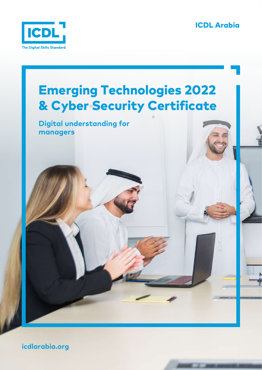ICDL Arabia





**icdlarabia.org**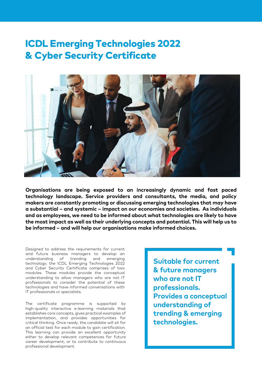# ICDL Emerging Technologies 2022 & Cyber Security Certificate



**Organisations are being exposed to an increasingly dynamic and fast paced technology landscape. Service providers and consultants, the media, and policy makers are constantly promoting or discussing emerging technologies that may have a substantial – and systemic – impact on our economies and societies. As individuals and as employees, we need to be informed about what technologies are likely to have the most impact as well as their underlying concepts and potential. This will help us to be informed – and will help our organisations make informed choices.**

Designed to address the requirements for current and future business managers to develop an understanding of trending and emerging technology, the ICDL Emerging Technologies 2022 and Cyber Security Certificate comprises of two modules. These modules provide the conceptual understanding to allow managers who are not IT professionals to consider the potential of these technologies and have informed conversations with IT professionals or specialists.

The certificate programme is supported by high-quality interactive e-learning materials that establishes core concepts, gives practical examples of implementation, and provides opportunities for critical thinking. Once ready, the candidate will sit for an official test for each module to gain certification. This learning can provide an excellent opportunity either to develop relevant competences for future career development, or to contribute to continuous professional development.

**Suitable for current & future managers who are not IT professionals. Provides a conceptual understanding of trending & emerging technologies.**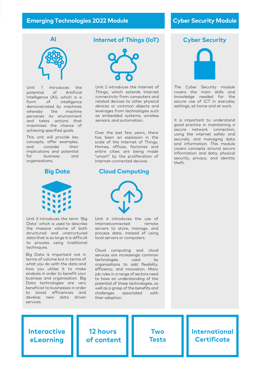#### **Emerging Technologies 2022 Module Cyber Security Module**



Unit 1 introduces the potential of Artificial Intelligence (AI), which is a form of intelligence demonstrated by machines whereby the machine perceives its environment and takes actions that maximises the chance of achieving specified goals.

This unit will provide key concepts, offer examples, and consider their implications and potential for business and organisations.

#### **Big Data**



Unit 3 introduces the term 'Big Data' which is used to describe the massive volume of both structured and unstructured data that is so large it is difficult to process using traditional techniques.

Big Data is important not in terms of volume but in terms of what you do with the data and how you utilise it to make analysis in order to benefit your business and organisation. Big Data technologies are very beneficial to businesses in order to boost efficiencies and develop new data driven services.

#### **Internet of Things (IoT)**



Unit 2 introduces the Internet of Things, which extends Internet connectivity from computers and related devices to other physical devices or common objects and leverages from technologies such as embedded systems, wireless sensors, and automation.

Over the last few years, there has been an explosion in the scale of the Internet of Things. Homes, offices, factories and entire cities are being made "smart" by the proliferation of Internet-connected devices.

#### **Cloud Computing**



Unit 4 introduces the use of Internetconnected remote servers to store, manage, and process data, instead of using local servers or computers.

Cloud computing and cloud services are increasingly common technologies used by organisations to add flexibility, efficiency, and innovation. Many job roles in a range of sectors need to have an understanding of the potential of these technologies, as well as a grasp of the benefits and challenges associated with their adoption.



The Cyber Security module covers the main skills and knowledge needed for the secure use of ICT in everyday settings, at home and at work.

it is important to understand good practice in maintaining a secure network connection, using the internet safely and securely, and managing data and information. This module covers concepts around secure information and data, physical security, privacy, and identity theft.



**12 hours of content**

**Two Tests**

### **International Certificate**